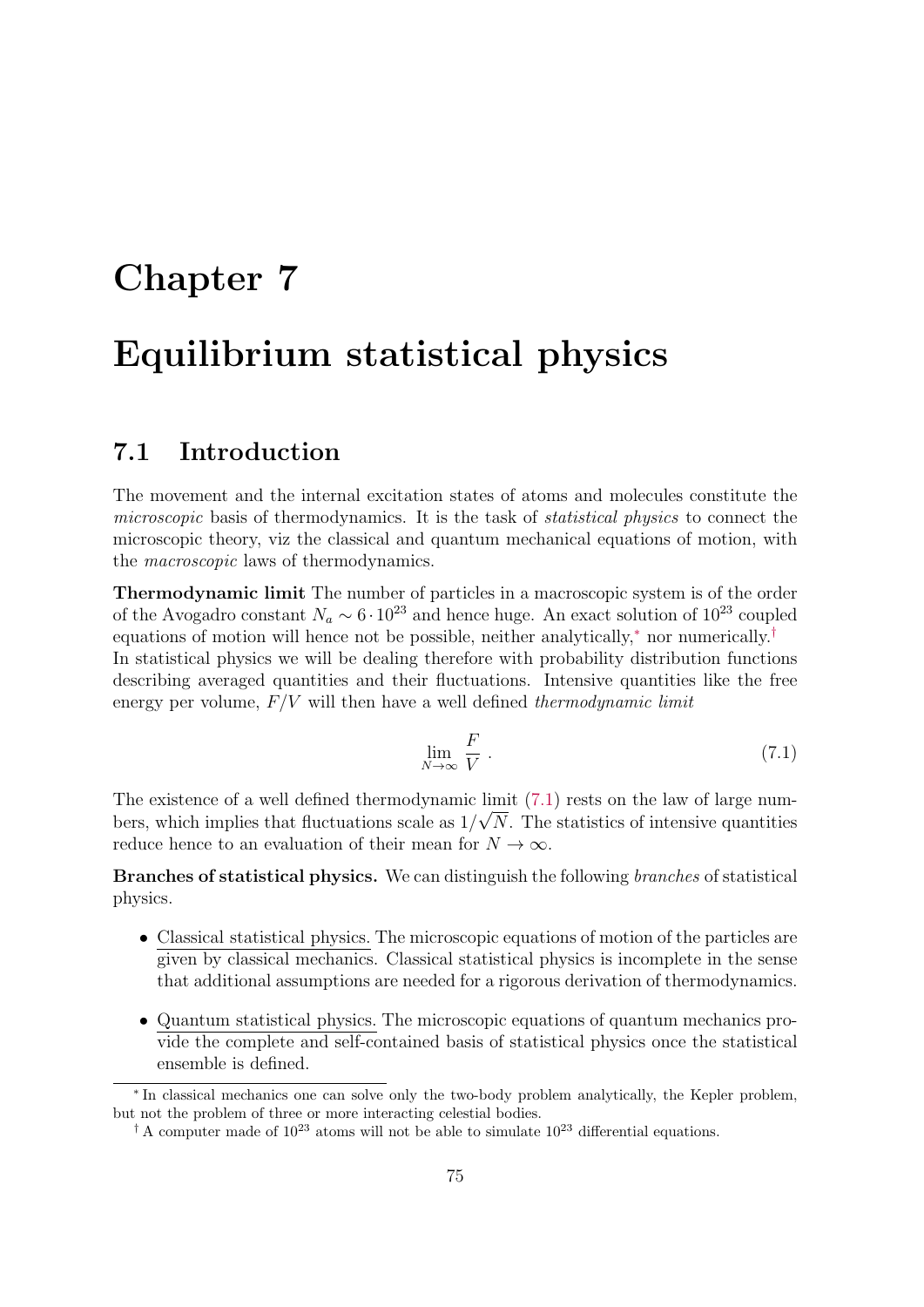# Chapter 7 Equilibrium statistical physics

# 7.1 Introduction

The movement and the internal excitation states of atoms and molecules constitute the microscopic basis of thermodynamics. It is the task of *statistical physics* to connect the microscopic theory, viz the classical and quantum mechanical equations of motion, with the macroscopic laws of thermodynamics.

Thermodynamic limit The number of particles in a macroscopic system is of the order of the Avogadro constant  $N_a \sim 6 \cdot 10^{23}$  and hence huge. An exact solution of  $10^{23}$  coupled equations of motion will hence not be possible, neither analytically,<sup>∗</sup> nor numerically.† In statistical physics we will be dealing therefore with probability distribution functions describing averaged quantities and their fluctuations. Intensive quantities like the free energy per volume,  $F/V$  will then have a well defined *thermodynamic limit* 

$$
\lim_{N \to \infty} \frac{F}{V} \ . \tag{7.1}
$$

The existence of a well defined thermodynamic limit (7.1) rests on the law of large numbers, which implies that fluctuations scale as  $1/\sqrt{N}$ . The statistics of intensive quantities reduce hence to an evaluation of their mean for  $N \to \infty$ .

Branches of statistical physics. We can distinguish the following branches of statistical physics.

- Classical statistical physics. The microscopic equations of motion of the particles are given by classical mechanics. Classical statistical physics is incomplete in the sense that additional assumptions are needed for a rigorous derivation of thermodynamics.
- Quantum statistical physics. The microscopic equations of quantum mechanics provide the complete and self-contained basis of statistical physics once the statistical ensemble is defined.

<sup>∗</sup> In classical mechanics one can solve only the two-body problem analytically, the Kepler problem, but not the problem of three or more interacting celestial bodies.

<sup>&</sup>lt;sup>†</sup> A computer made of  $10^{23}$  atoms will not be able to simulate  $10^{23}$  differential equations.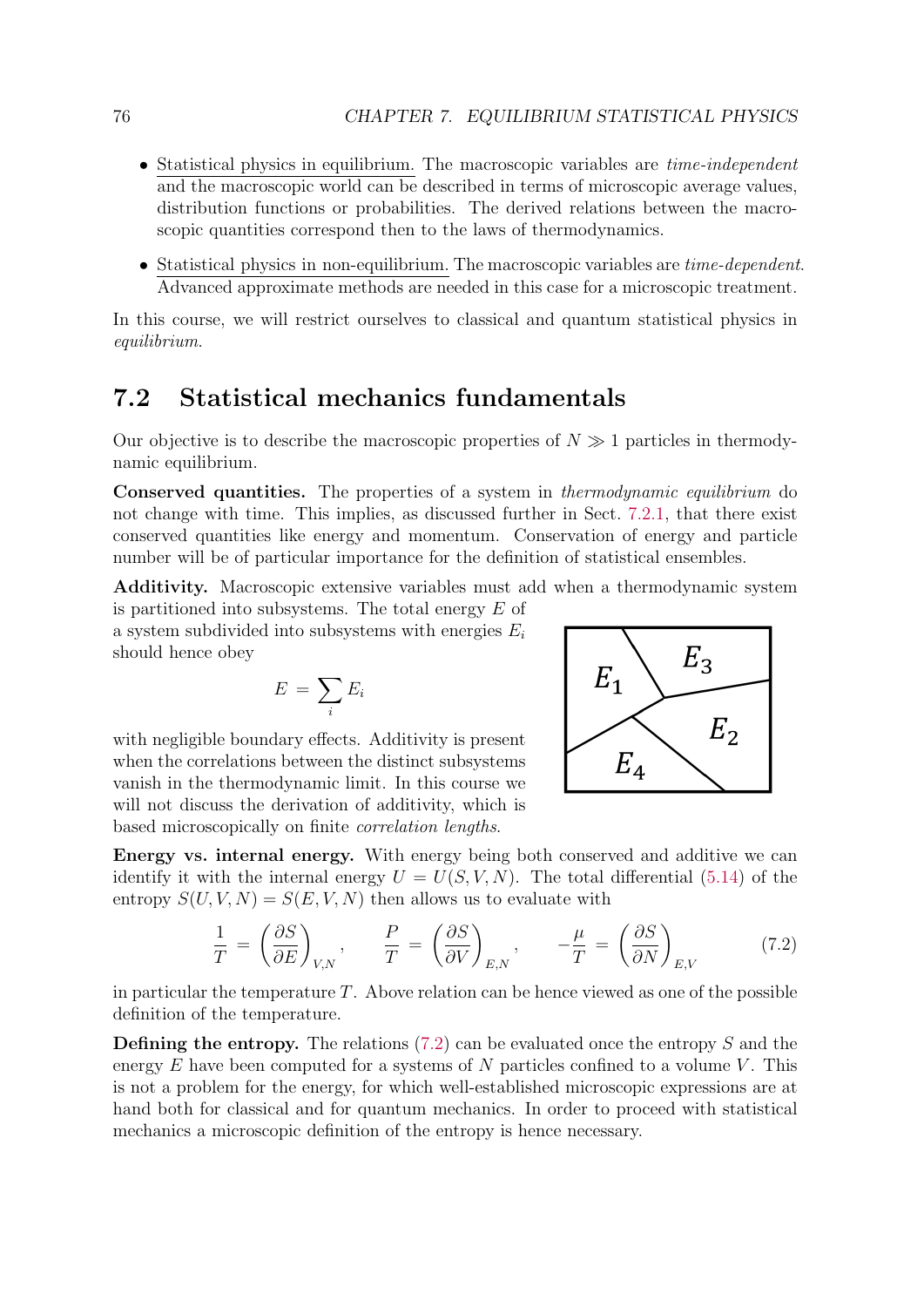- Statistical physics in equilibrium. The macroscopic variables are *time-independent* and the macroscopic world can be described in terms of microscopic average values, distribution functions or probabilities. The derived relations between the macroscopic quantities correspond then to the laws of thermodynamics.
- Statistical physics in non-equilibrium. The macroscopic variables are *time-dependent*. Advanced approximate methods are needed in this case for a microscopic treatment.

In this course, we will restrict ourselves to classical and quantum statistical physics in equilibrium.

# 7.2 Statistical mechanics fundamentals

Our objective is to describe the macroscopic properties of  $N \gg 1$  particles in thermodynamic equilibrium.

Conserved quantities. The properties of a system in thermodynamic equilibrium do not change with time. This implies, as discussed further in Sect. 7.2.1, that there exist conserved quantities like energy and momentum. Conservation of energy and particle number will be of particular importance for the definition of statistical ensembles.

Additivity. Macroscopic extensive variables must add when a thermodynamic system is partitioned into subsystems. The total energy E of

a system subdivided into subsystems with energies  $E_i$ should hence obey

$$
E\,=\,\sum_i E_i
$$

with negligible boundary effects. Additivity is present when the correlations between the distinct subsystems vanish in the thermodynamic limit. In this course we will not discuss the derivation of additivity, which is based microscopically on finite correlation lengths.



Energy vs. internal energy. With energy being both conserved and additive we can identify it with the internal energy  $U = U(S, V, N)$ . The total differential (5.14) of the entropy  $S(U, V, N) = S(E, V, N)$  then allows us to evaluate with

$$
\frac{1}{T} = \left(\frac{\partial S}{\partial E}\right)_{V,N}, \qquad \frac{P}{T} = \left(\frac{\partial S}{\partial V}\right)_{E,N}, \qquad -\frac{\mu}{T} = \left(\frac{\partial S}{\partial N}\right)_{E,V} \tag{7.2}
$$

in particular the temperature  $T$ . Above relation can be hence viewed as one of the possible definition of the temperature.

**Defining the entropy.** The relations  $(7.2)$  can be evaluated once the entropy S and the energy  $E$  have been computed for a systems of  $N$  particles confined to a volume  $V$ . This is not a problem for the energy, for which well-established microscopic expressions are at hand both for classical and for quantum mechanics. In order to proceed with statistical mechanics a microscopic definition of the entropy is hence necessary.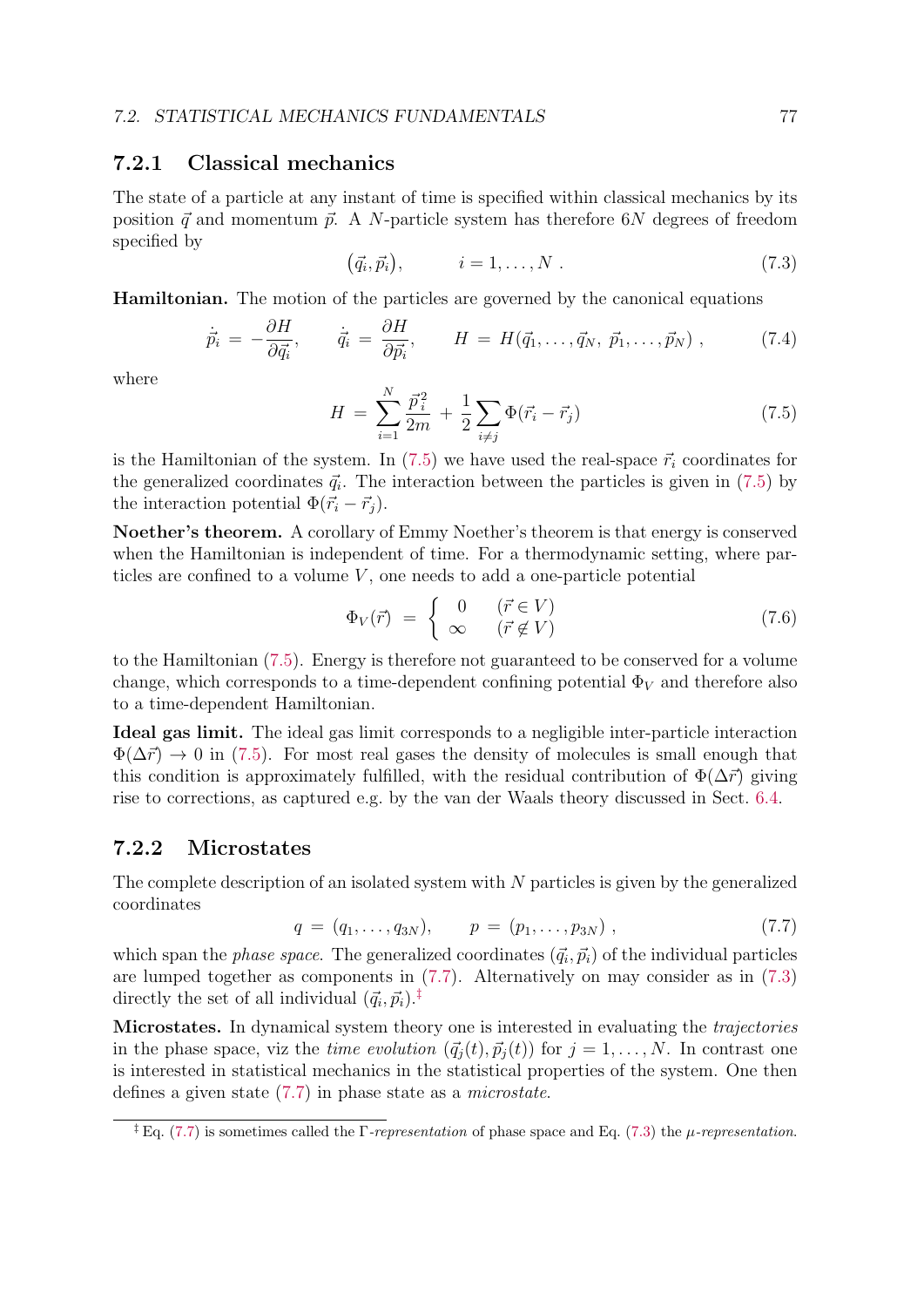## 7.2.1 Classical mechanics

The state of a particle at any instant of time is specified within classical mechanics by its position  $\vec{q}$  and momentum  $\vec{p}$ . A N-particle system has therefore 6N degrees of freedom specified by

$$
(\vec{q}_i, \vec{p}_i), \qquad i = 1, \dots, N. \tag{7.3}
$$

Hamiltonian. The motion of the particles are governed by the canonical equations

$$
\dot{\vec{p}}_i = -\frac{\partial H}{\partial \vec{q}_i}, \qquad \dot{\vec{q}}_i = \frac{\partial H}{\partial \vec{p}_i}, \qquad H = H(\vec{q}_1, \dots, \vec{q}_N, \ \vec{p}_1, \dots, \vec{p}_N) , \qquad (7.4)
$$

where

$$
H = \sum_{i=1}^{N} \frac{\vec{p}_i^2}{2m} + \frac{1}{2} \sum_{i \neq j} \Phi(\vec{r}_i - \vec{r}_j)
$$
\n(7.5)

is the Hamiltonian of the system. In  $(7.5)$  we have used the real-space  $\vec{r}_i$  coordinates for the generalized coordinates  $\vec{q}_i$ . The interaction between the particles is given in (7.5) by the interaction potential  $\Phi(\vec{r}_i - \vec{r}_j)$ .

Noether's theorem. A corollary of Emmy Noether's theorem is that energy is conserved when the Hamiltonian is independent of time. For a thermodynamic setting, where particles are confined to a volume  $V$ , one needs to add a one-particle potential

$$
\Phi_V(\vec{r}) = \begin{cases}\n0 & (\vec{r} \in V) \\
\infty & (\vec{r} \notin V)\n\end{cases}
$$
\n(7.6)

to the Hamiltonian (7.5). Energy is therefore not guaranteed to be conserved for a volume change, which corresponds to a time-dependent confining potential  $\Phi_V$  and therefore also to a time-dependent Hamiltonian.

Ideal gas limit. The ideal gas limit corresponds to a negligible inter-particle interaction  $\Phi(\Delta \vec{r}) \rightarrow 0$  in (7.5). For most real gases the density of molecules is small enough that this condition is approximately fulfilled, with the residual contribution of  $\Phi(\Delta \vec{r})$  giving rise to corrections, as captured e.g. by the van der Waals theory discussed in Sect. 6.4.

## 7.2.2 Microstates

The complete description of an isolated system with N particles is given by the generalized coordinates

$$
q = (q_1, \ldots, q_{3N}), \qquad p = (p_1, \ldots, p_{3N}), \qquad (7.7)
$$

which span the *phase space*. The generalized coordinates  $(\vec{q}_i, \vec{p}_i)$  of the individual particles are lumped together as components in (7.7). Alternatively on may consider as in (7.3) directly the set of all individual  $(\vec{q}_i, \vec{p}_i)^{\dagger}$ .

Microstates. In dynamical system theory one is interested in evaluating the *trajectories* in the phase space, viz the *time evolution*  $(\vec{q}_i(t), \vec{p}_i(t))$  for  $j = 1, ..., N$ . In contrast one is interested in statistical mechanics in the statistical properties of the system. One then defines a given state (7.7) in phase state as a microstate.

<sup>&</sup>lt;sup>‡</sup> Eq. (7.7) is sometimes called the  $\Gamma$ -representation of phase space and Eq. (7.3) the  $\mu$ -representation.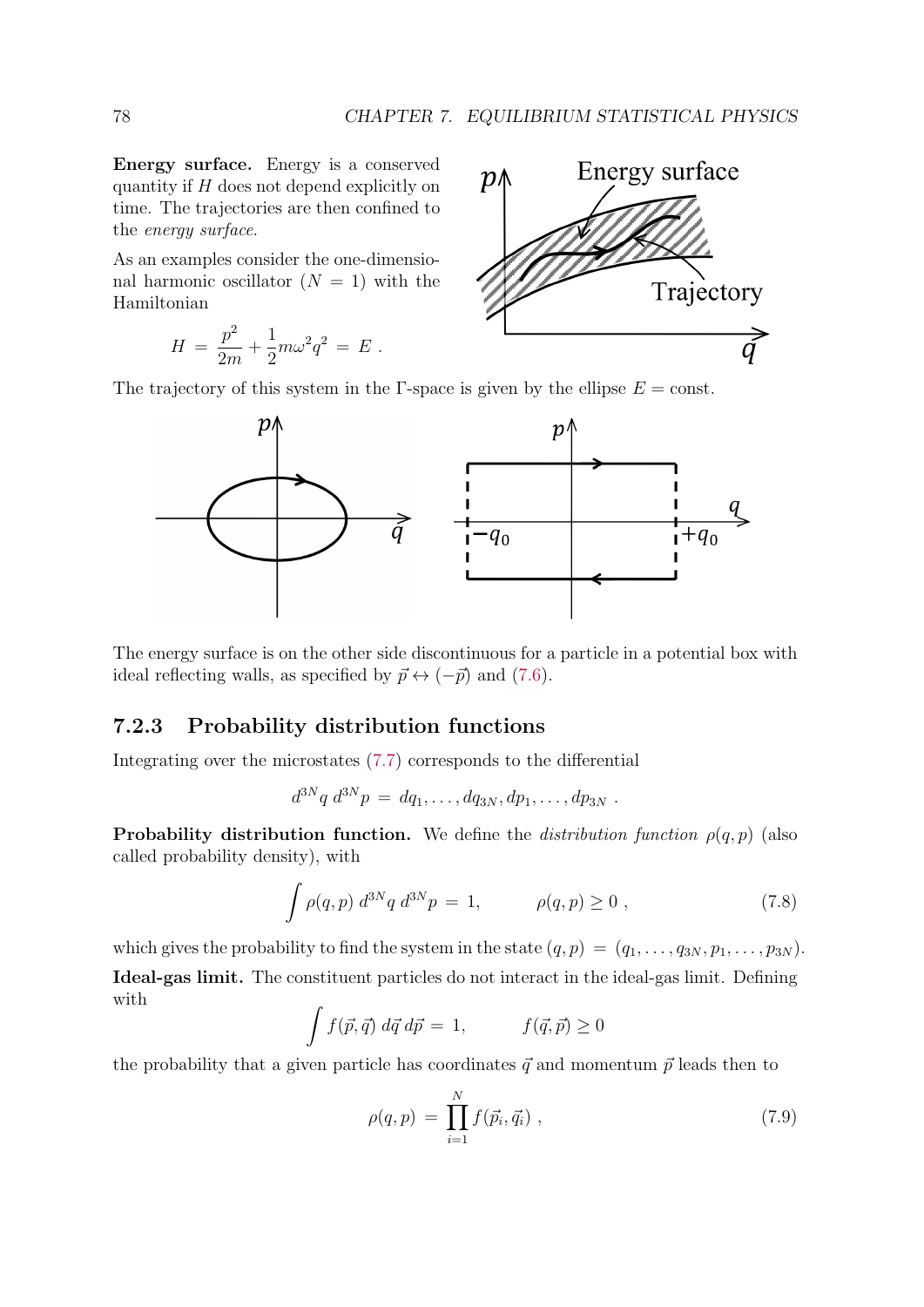Energy surface. Energy is a conserved quantity if  $H$  does not depend explicitly on time. The trajectories are then confined to the energy surface.

As an examples consider the one-dimensional harmonic oscillator  $(N = 1)$  with the Hamiltonian

$$
H = \frac{p^2}{2m} + \frac{1}{2}m\omega^2 q^2 = E.
$$



The trajectory of this system in the Γ-space is given by the ellipse  $E = \text{const.}$ 



The energy surface is on the other side discontinuous for a particle in a potential box with ideal reflecting walls, as specified by  $\vec{p} \leftrightarrow (-\vec{p})$  and (7.6).

## 7.2.3 Probability distribution functions

Integrating over the microstates (7.7) corresponds to the differential

$$
d^{3N}q \ d^{3N}p = dq_1, \ldots, dq_{3N}, dp_1, \ldots, dp_{3N} .
$$

**Probability distribution function.** We define the *distribution function*  $\rho(q, p)$  (also called probability density), with

$$
\int \rho(q, p) d^{3N}q d^{3N}p = 1, \qquad \rho(q, p) \ge 0 , \qquad (7.8)
$$

which gives the probability to find the system in the state  $(q, p) = (q_1, \ldots, q_{3N}, p_1, \ldots, p_{3N}).$ 

Ideal-gas limit. The constituent particles do not interact in the ideal-gas limit. Defining with

$$
\int f(\vec{p}, \vec{q}) \, d\vec{q} \, d\vec{p} = 1, \qquad f(\vec{q}, \vec{p}) \ge 0
$$

the probability that a given particle has coordinates  $\vec{q}$  and momentum  $\vec{p}$  leads then to

$$
\rho(q, p) = \prod_{i=1}^{N} f(\vec{p_i}, \vec{q_i}) , \qquad (7.9)
$$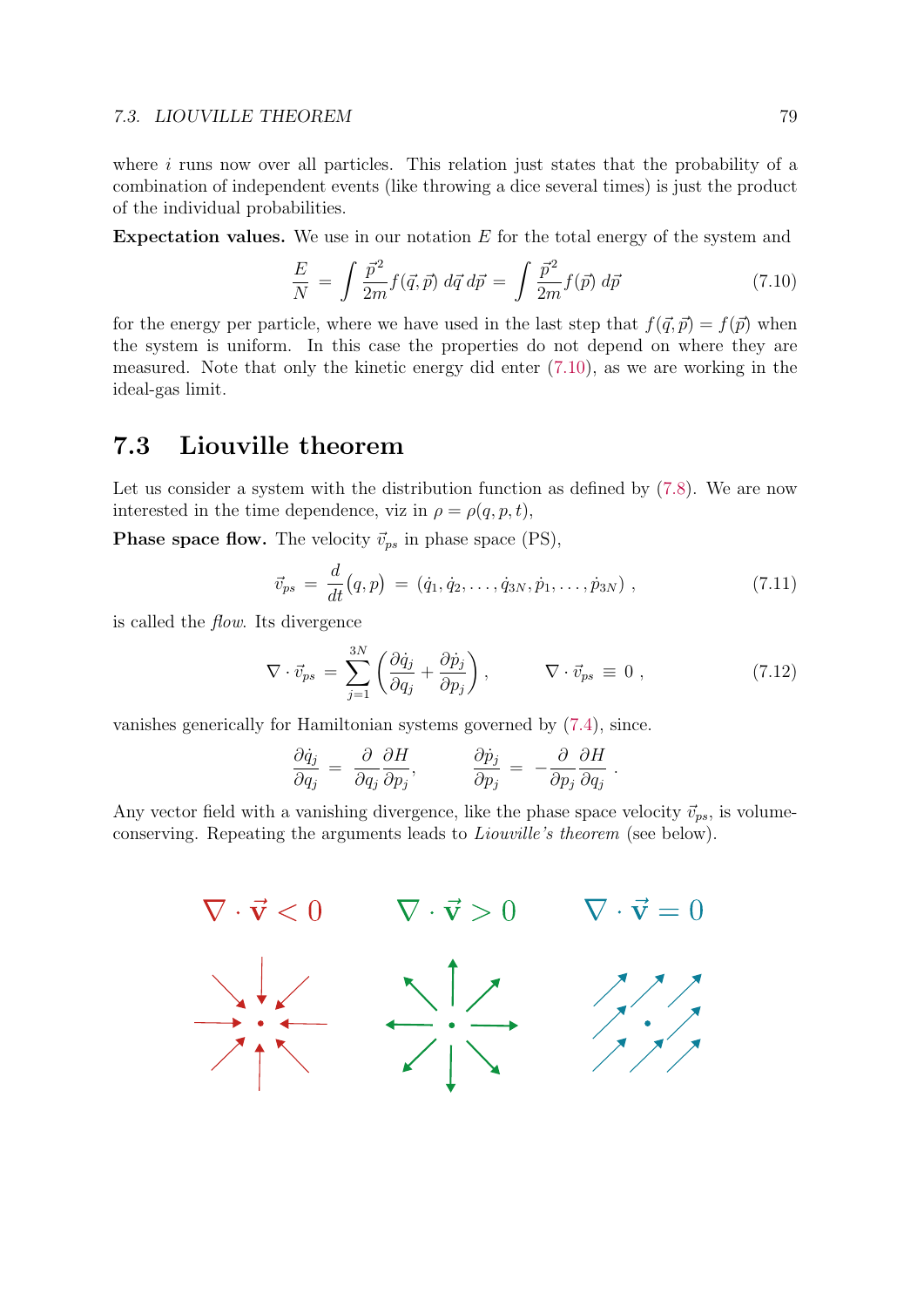#### 7.3. LIOUVILLE THEOREM 79

where  $i$  runs now over all particles. This relation just states that the probability of a combination of independent events (like throwing a dice several times) is just the product of the individual probabilities.

**Expectation values.** We use in our notation  $E$  for the total energy of the system and

$$
\frac{E}{N} = \int \frac{\vec{p}^2}{2m} f(\vec{q}, \vec{p}) \, d\vec{q} \, d\vec{p} = \int \frac{\vec{p}^2}{2m} f(\vec{p}) \, d\vec{p} \tag{7.10}
$$

for the energy per particle, where we have used in the last step that  $f(\vec{q}, \vec{p}) = f(\vec{p})$  when the system is uniform. In this case the properties do not depend on where they are measured. Note that only the kinetic energy did enter (7.10), as we are working in the ideal-gas limit.

# 7.3 Liouville theorem

Let us consider a system with the distribution function as defined by  $(7.8)$ . We are now interested in the time dependence, viz in  $\rho = \rho(q, p, t)$ ,

**Phase space flow.** The velocity  $\vec{v}_{ps}$  in phase space (PS),

$$
\vec{v}_{ps} = \frac{d}{dt}(q, p) = (\dot{q}_1, \dot{q}_2, \dots, \dot{q}_{3N}, \dot{p}_1, \dots, \dot{p}_{3N}), \qquad (7.11)
$$

is called the flow. Its divergence

$$
\nabla \cdot \vec{v}_{ps} = \sum_{j=1}^{3N} \left( \frac{\partial \dot{q}_j}{\partial q_j} + \frac{\partial \dot{p}_j}{\partial p_j} \right), \qquad \nabla \cdot \vec{v}_{ps} \equiv 0 , \qquad (7.12)
$$

vanishes generically for Hamiltonian systems governed by (7.4), since.

$$
\frac{\partial \dot{q}_j}{\partial q_j} = \frac{\partial}{\partial q_j} \frac{\partial H}{\partial p_j}, \qquad \frac{\partial \dot{p}_j}{\partial p_j} = -\frac{\partial}{\partial p_j} \frac{\partial H}{\partial q_j}.
$$

Any vector field with a vanishing divergence, like the phase space velocity  $\vec{v}_{ps}$ , is volumeconserving. Repeating the arguments leads to Liouville's theorem (see below).

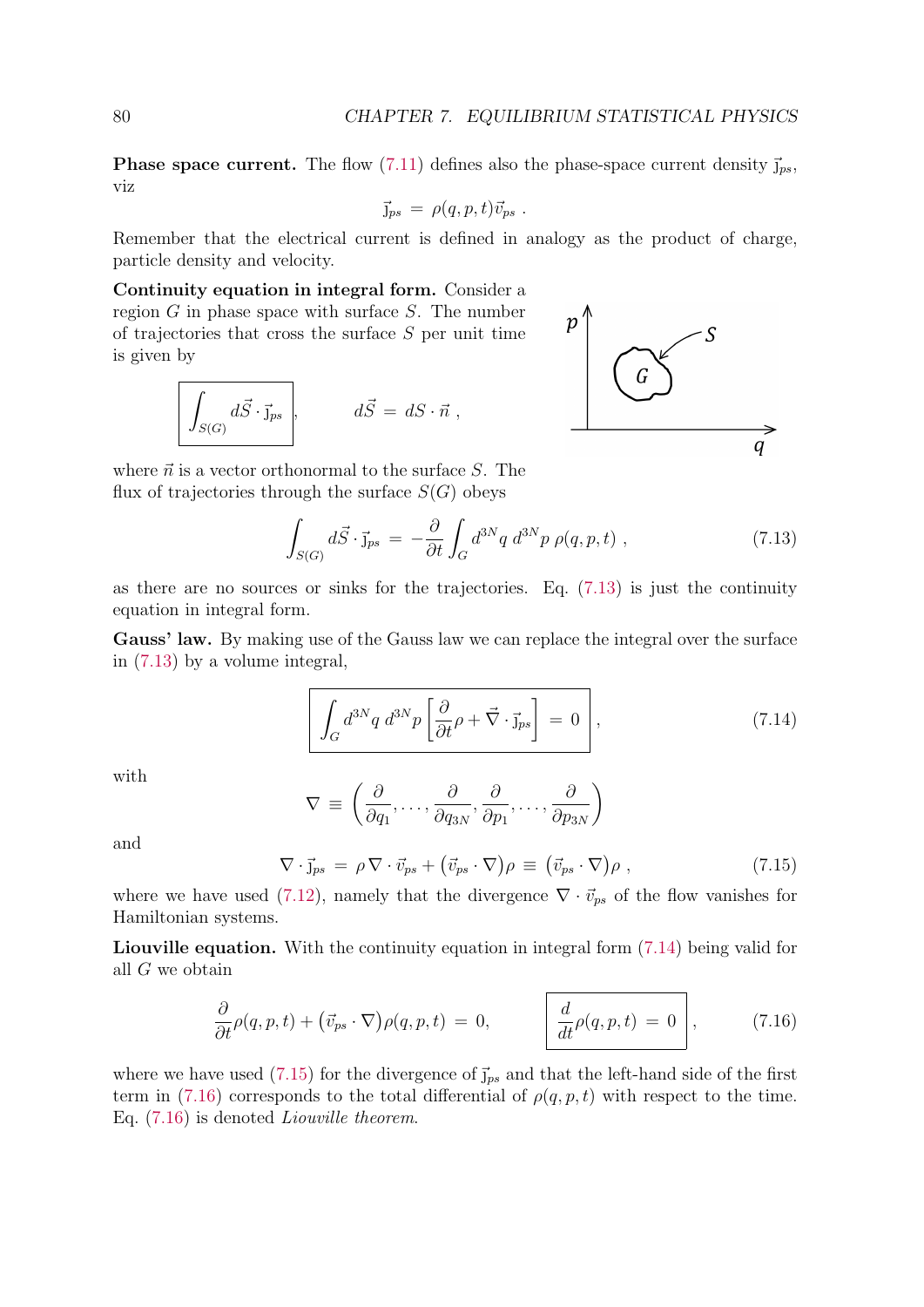**Phase space current.** The flow (7.11) defines also the phase-space current density  $\vec{j}_{ps}$ , viz

$$
\vec{J}_{ps} = \rho(q, p, t) \vec{v}_{ps} .
$$

Remember that the electrical current is defined in analogy as the product of charge, particle density and velocity.

Continuity equation in integral form. Consider a region  $G$  in phase space with surface  $S$ . The number of trajectories that cross the surface  $S$  per unit time is given by

$$
\int_{S(G)} d\vec{S} \cdot \vec{j}_{ps} \qquad d\vec{S} = dS \cdot \vec{n} ,
$$



where  $\vec{n}$  is a vector orthonormal to the surface S. The flux of trajectories through the surface  $S(G)$  obeys

$$
\int_{S(G)} d\vec{S} \cdot \vec{j}_{ps} = -\frac{\partial}{\partial t} \int_G d^{3N}q \ d^{3N}p \ \rho(q, p, t) \ , \qquad (7.13)
$$

as there are no sources or sinks for the trajectories. Eq. (7.13) is just the continuity equation in integral form.

Gauss' law. By making use of the Gauss law we can replace the integral over the surface in (7.13) by a volume integral,

$$
\int_{G} d^{3N}q \ d^{3N}p \left[ \frac{\partial}{\partial t} \rho + \vec{\nabla} \cdot \vec{\mathbf{j}}_{ps} \right] = 0 \qquad (7.14)
$$

with

$$
\nabla \equiv \left( \frac{\partial}{\partial q_1}, \dots, \frac{\partial}{\partial q_{3N}}, \frac{\partial}{\partial p_1}, \dots, \frac{\partial}{\partial p_{3N}} \right)
$$

and

$$
\nabla \cdot \vec{j}_{ps} = \rho \nabla \cdot \vec{v}_{ps} + (\vec{v}_{ps} \cdot \nabla)\rho \equiv (\vec{v}_{ps} \cdot \nabla)\rho , \qquad (7.15)
$$

where we have used (7.12), namely that the divergence  $\nabla \cdot \vec{v}_{ps}$  of the flow vanishes for Hamiltonian systems.

Liouville equation. With the continuity equation in integral form (7.14) being valid for all G we obtain

$$
\frac{\partial}{\partial t}\rho(q,p,t) + (\vec{v}_{ps} \cdot \nabla)\rho(q,p,t) = 0, \qquad \frac{d}{dt}\rho(q,p,t) = 0,
$$
\n(7.16)

where we have used (7.15) for the divergence of  $\vec{J}_{ps}$  and that the left-hand side of the first term in (7.16) corresponds to the total differential of  $\rho(q, p, t)$  with respect to the time. Eq. (7.16) is denoted Liouville theorem.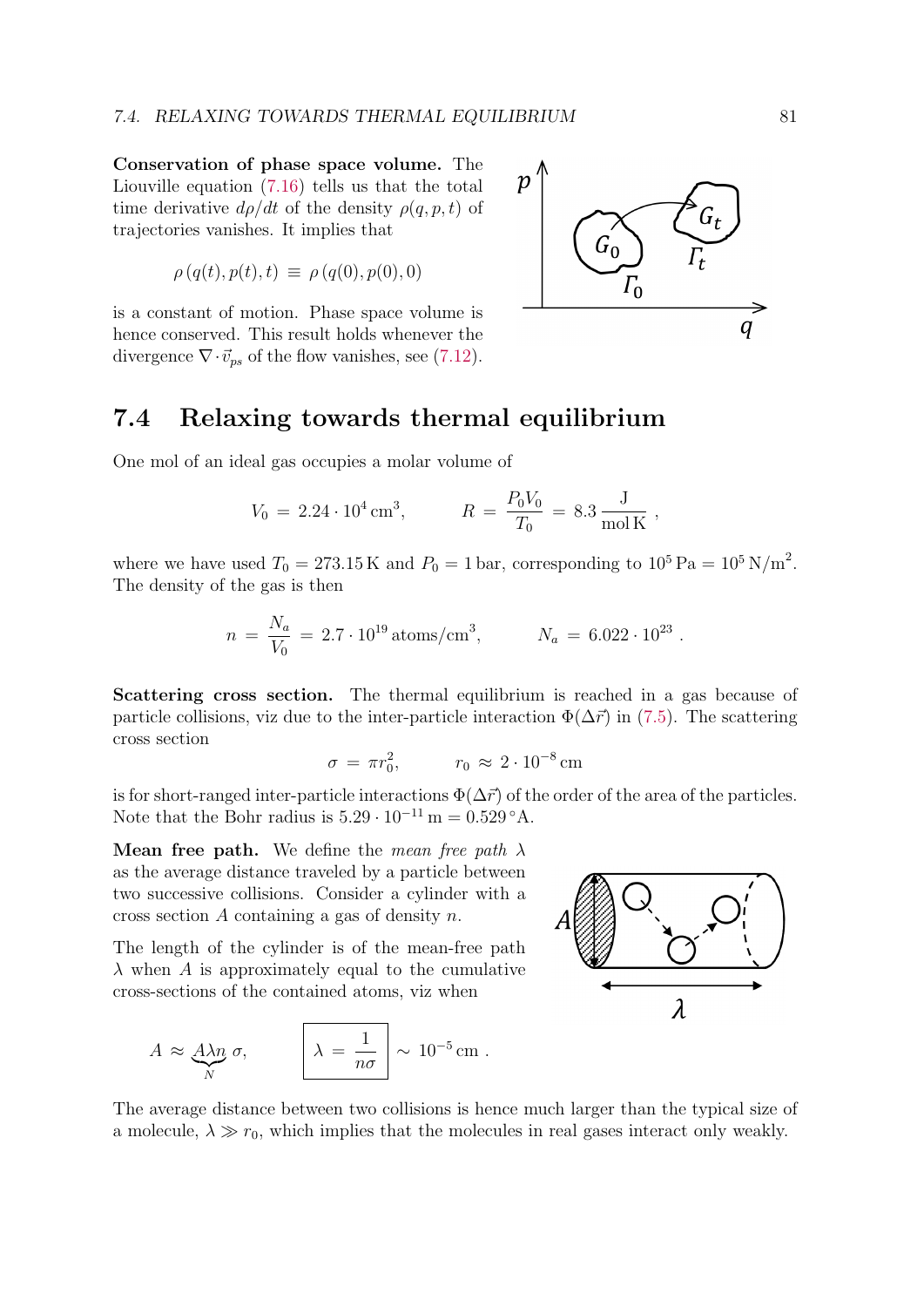Conservation of phase space volume. The Liouville equation (7.16) tells us that the total time derivative  $d\rho/dt$  of the density  $\rho(q, p, t)$  of trajectories vanishes. It implies that

$$
\rho(q(t), p(t), t) \equiv \rho(q(0), p(0), 0)
$$

is a constant of motion. Phase space volume is hence conserved. This result holds whenever the divergence  $\nabla \cdot \vec{v}_{ps}$  of the flow vanishes, see (7.12).



## 7.4 Relaxing towards thermal equilibrium

One mol of an ideal gas occupies a molar volume of

$$
V_0 = 2.24 \cdot 10^4 \,\text{cm}^3, \qquad R = \frac{P_0 V_0}{T_0} = 8.3 \,\frac{\text{J}}{\text{mol K}}\,,
$$

where we have used  $T_0 = 273.15 \,\mathrm{K}$  and  $P_0 = 1 \,\mathrm{bar}$ , corresponding to  $10^5 \,\mathrm{Pa} = 10^5 \,\mathrm{N/m}^2$ . The density of the gas is then

$$
n = \frac{N_a}{V_0} = 2.7 \cdot 10^{19} \,\mathrm{atoms/cm^3}, \qquad N_a = 6.022 \cdot 10^{23} \,.
$$

Scattering cross section. The thermal equilibrium is reached in a gas because of particle collisions, viz due to the inter-particle interaction  $\Phi(\Delta \vec{r})$  in (7.5). The scattering cross section

$$
\sigma = \pi r_0^2, \qquad r_0 \approx 2 \cdot 10^{-8} \,\text{cm}
$$

is for short-ranged inter-particle interactions  $\Phi(\Delta \vec{r})$  of the order of the area of the particles. Note that the Bohr radius is  $5.29 \cdot 10^{-11}$  m =  $0.529 \textdegree A$ .

**Mean free path.** We define the mean free path  $\lambda$ as the average distance traveled by a particle between two successive collisions. Consider a cylinder with a cross section A containing a gas of density n.

The length of the cylinder is of the mean-free path  $\lambda$  when A is approximately equal to the cumulative cross-sections of the contained atoms, viz when

$$
A \approx \underbrace{A\lambda n}_{N} \sigma, \qquad \boxed{\lambda = \frac{1}{n\sigma}} \sim 10^{-5} \,\text{cm} \; .
$$



The average distance between two collisions is hence much larger than the typical size of a molecule,  $\lambda \gg r_0$ , which implies that the molecules in real gases interact only weakly.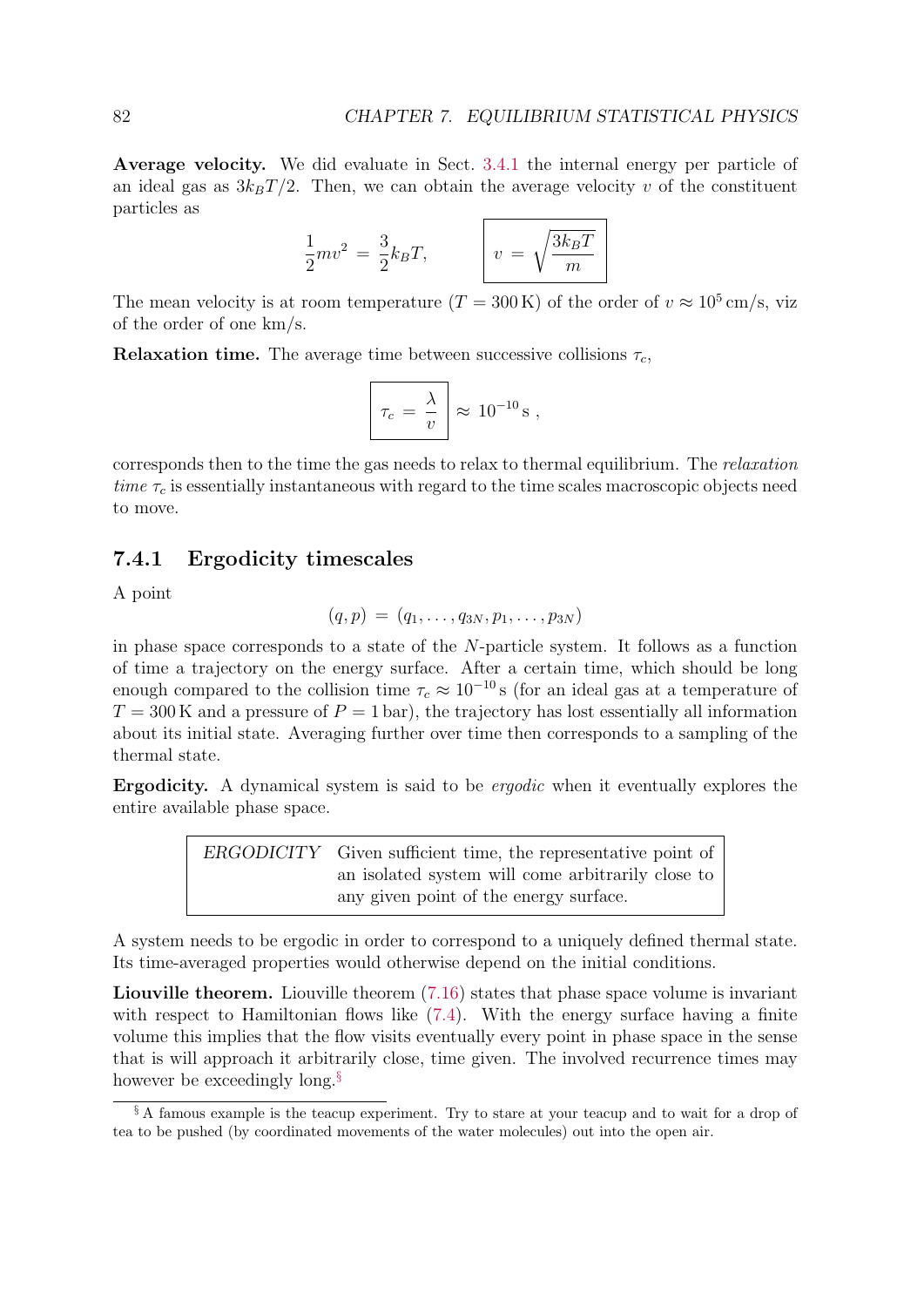Average velocity. We did evaluate in Sect. 3.4.1 the internal energy per particle of an ideal gas as  $3k_BT/2$ . Then, we can obtain the average velocity v of the constituent particles as

$$
\frac{1}{2}mv^2 = \frac{3}{2}k_BT,
$$
  $v = \sqrt{\frac{3k_BT}{m}}$ 

The mean velocity is at room temperature  $(T = 300 \text{ K})$  of the order of  $v \approx 10^5 \text{ cm/s}$ , viz of the order of one km/s.

**Relaxation time.** The average time between successive collisions  $\tau_c$ ,

$$
\tau_c = \frac{\lambda}{v} \approx 10^{-10} \,\mathrm{s} \ ,
$$

corresponds then to the time the gas needs to relax to thermal equilibrium. The relaxation time  $\tau_c$  is essentially instantaneous with regard to the time scales macroscopic objects need to move.

### 7.4.1 Ergodicity timescales

A point

$$
(q,p) = (q_1, \ldots, q_{3N}, p_1, \ldots, p_{3N})
$$

in phase space corresponds to a state of the N-particle system. It follows as a function of time a trajectory on the energy surface. After a certain time, which should be long enough compared to the collision time  $\tau_c \approx 10^{-10}$  s (for an ideal gas at a temperature of  $T = 300$  K and a pressure of  $P = 1$  bar), the trajectory has lost essentially all information about its initial state. Averaging further over time then corresponds to a sampling of the thermal state.

Ergodicity. A dynamical system is said to be ergodic when it eventually explores the entire available phase space.

> ERGODICITY Given sufficient time, the representative point of an isolated system will come arbitrarily close to any given point of the energy surface.

A system needs to be ergodic in order to correspond to a uniquely defined thermal state. Its time-averaged properties would otherwise depend on the initial conditions.

Liouville theorem. Liouville theorem  $(7.16)$  states that phase space volume is invariant with respect to Hamiltonian flows like  $(7.4)$ . With the energy surface having a finite volume this implies that the flow visits eventually every point in phase space in the sense that is will approach it arbitrarily close, time given. The involved recurrence times may however be exceedingly long.<sup>§</sup>

<sup>§</sup> A famous example is the teacup experiment. Try to stare at your teacup and to wait for a drop of tea to be pushed (by coordinated movements of the water molecules) out into the open air.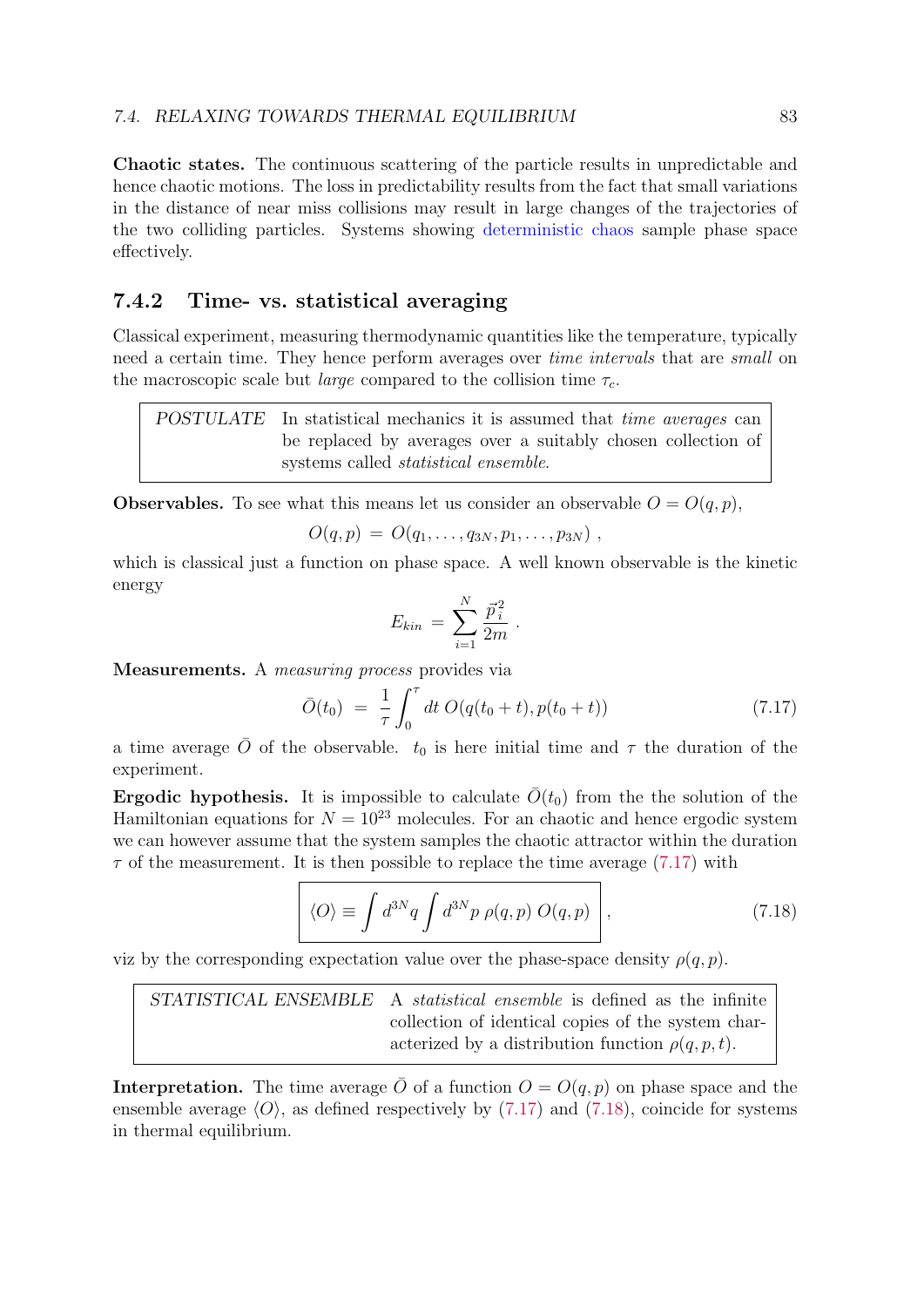Chaotic states. The continuous scattering of the particle results in unpredictable and hence chaotic motions. The loss in predictability results from the fact that small variations in the distance of near miss collisions may result in large changes of the trajectories of the two colliding particles. Systems showing deterministic chaos sample phase space effectively.

## 7.4.2 Time- vs. statistical averaging

Classical experiment, measuring thermodynamic quantities like the temperature, typically need a certain time. They hence perform averages over *time intervals* that are *small* on the macroscopic scale but *large* compared to the collision time  $\tau_c$ .

POSTULATE In statistical mechanics it is assumed that time averages can be replaced by averages over a suitably chosen collection of systems called statistical ensemble.

**Observables.** To see what this means let us consider an observable  $O = O(q, p)$ ,

$$
O(q,p) = O(q_1,\ldots,q_{3N},p_1,\ldots,p_{3N}) ,
$$

which is classical just a function on phase space. A well known observable is the kinetic energy

$$
E_{kin} = \sum_{i=1}^{N} \frac{\vec{p}_i^2}{2m} \; .
$$

Measurements. A measuring process provides via

$$
\bar{O}(t_0) = \frac{1}{\tau} \int_0^{\tau} dt \, O(q(t_0 + t), p(t_0 + t)) \tag{7.17}
$$

a time average  $\overline{O}$  of the observable.  $t_0$  is here initial time and  $\tau$  the duration of the experiment.

**Ergodic hypothesis.** It is impossible to calculate  $\overline{O}(t_0)$  from the the solution of the Hamiltonian equations for  $N = 10^{23}$  molecules. For an chaotic and hence ergodic system we can however assume that the system samples the chaotic attractor within the duration  $\tau$  of the measurement. It is then possible to replace the time average (7.17) with

$$
\langle O \rangle \equiv \int d^{3N}q \int d^{3N}p \; \rho(q,p) \; O(q,p) \quad , \tag{7.18}
$$

viz by the corresponding expectation value over the phase-space density  $\rho(q, p)$ .

STATISTICAL ENSEMBLE A statistical ensemble is defined as the infinite collection of identical copies of the system characterized by a distribution function  $\rho(q, p, t)$ .

**Interpretation.** The time average  $\overline{O}$  of a function  $O = O(q, p)$  on phase space and the ensemble average  $\langle O \rangle$ , as defined respectively by (7.17) and (7.18), coincide for systems in thermal equilibrium.